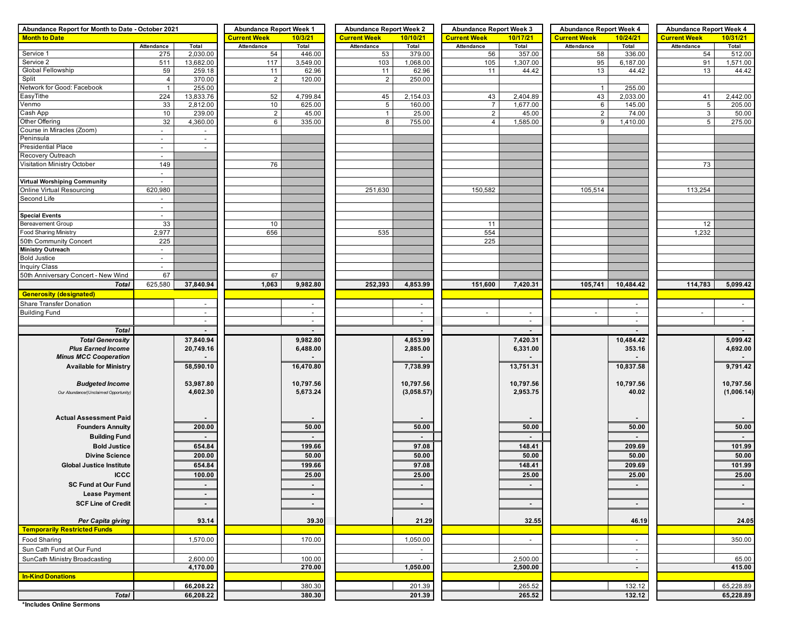| Abundance Report for Month to Date - October 2021 | <b>Abundance Report Week 1</b> |                     | <b>Abundance Report Week 2</b> |                     | <b>Abundance Report Week 3</b> |                     | <b>Abundance Report Week 4</b> |                     | <b>Abundance Report Week 4</b> |                     |              |            |
|---------------------------------------------------|--------------------------------|---------------------|--------------------------------|---------------------|--------------------------------|---------------------|--------------------------------|---------------------|--------------------------------|---------------------|--------------|------------|
| <b>Month to Date</b>                              |                                | <b>Current Week</b> | 10/3/21                        | <b>Current Week</b> | 10/10/21                       | <b>Current Week</b> | 10/17/21                       | <b>Current Week</b> | 10/24/21                       | <b>Current Week</b> | 10/31/21     |            |
|                                                   | Attendance                     | Total               | Attendance                     | Total               | Attendance                     | Total               | Attendance                     | Total               | Attendance                     | Total               | Attendance   | Total      |
| Service 1                                         | 275                            | 2,030.00            | 54                             | 446.00              | 53                             | 379.00              | 56                             | 357.00              | 58                             | 336.00              | 54           | 512.00     |
| Service 2                                         | 511                            | 13,682.00           | 117                            | 3,549.00            | 103                            | 1,068.00            | 105                            | 1,307.00            | 95                             | 6,187.00            | 91           | 1,571.00   |
| Global Fellowship                                 | 59                             | 259.18              | 11                             | 62.96               | 11                             | 62.96               | 11                             | 44.42               | 13                             | 44.42               | 13           | 44.42      |
| Split<br>Network for Good: Facebook               | $\overline{4}$<br>$\mathbf{1}$ | 370.00<br>255.00    | 2                              | 120.00              | 2                              | 250.00              |                                |                     | $\mathbf{1}$                   | 255.00              |              |            |
| EasyTithe                                         | 224                            | 13,833.76           | 52                             | 4,799.84            | 45                             | 2,154.03            | 43                             | 2,404.89            | 43                             | 2,033.00            | 41           | 2,442.00   |
| Venmo                                             | 33                             | 2,812.00            | 10                             | 625.00              | 5                              | 160.00              | $\overline{7}$                 | 1,677.00            | 6                              | 145.00              | 5            | 205.00     |
| Cash App                                          | 10                             | 239.00              | $\overline{2}$                 | 45.00               | $\mathbf{1}$                   | 25.00               | $\overline{2}$                 | 45.00               | $\overline{2}$                 | 74.00               | $\mathbf{3}$ | 50.00      |
| Other Offering                                    | 32                             | 4,360.00            | 6                              | 335.00              | 8                              | 755.00              | $\overline{4}$                 | 1,585.00            | 9                              | 1,410.00            | 5            | 275.00     |
| Course in Miracles (Zoom)                         | $\sim$                         | $\sim$              |                                |                     |                                |                     |                                |                     |                                |                     |              |            |
| Peninsula                                         | $\overline{\phantom{a}}$       | $\sim$              |                                |                     |                                |                     |                                |                     |                                |                     |              |            |
| <b>Presidential Place</b>                         | $\blacksquare$                 | $\sim$              |                                |                     |                                |                     |                                |                     |                                |                     |              |            |
| Recovery Outreach                                 | $\sim$                         |                     |                                |                     |                                |                     |                                |                     |                                |                     |              |            |
| Visitation Ministry October                       | 149                            |                     | 76                             |                     |                                |                     |                                |                     |                                |                     | 73           |            |
|                                                   | $\sim$                         |                     |                                |                     |                                |                     |                                |                     |                                |                     |              |            |
| <b>Virtual Worshiping Community</b>               | 620,980                        |                     |                                |                     |                                |                     |                                |                     |                                |                     |              |            |
| <b>Online Virtual Resourcing</b><br>Second Life   | $\sim$                         |                     |                                |                     | 251,630                        |                     | 150,582                        |                     | 105,514                        |                     | 113,254      |            |
|                                                   | $\sim$                         |                     |                                |                     |                                |                     |                                |                     |                                |                     |              |            |
| <b>Special Events</b>                             | ٠                              |                     |                                |                     |                                |                     |                                |                     |                                |                     |              |            |
| <b>Bereavement Group</b>                          | 33                             |                     | 10                             |                     |                                |                     | 11                             |                     |                                |                     | 12           |            |
| <b>Food Sharing Ministry</b>                      | 2,977                          |                     | 656                            |                     | 535                            |                     | 554                            |                     |                                |                     | 1,232        |            |
| 50th Community Concert                            | 225                            |                     |                                |                     |                                |                     | 225                            |                     |                                |                     |              |            |
| <b>Ministry Outreach</b>                          | $\overline{\phantom{a}}$       |                     |                                |                     |                                |                     |                                |                     |                                |                     |              |            |
| <b>Bold Justice</b>                               | $\omega$                       |                     |                                |                     |                                |                     |                                |                     |                                |                     |              |            |
| <b>Inquiry Class</b>                              | $\sim$                         |                     |                                |                     |                                |                     |                                |                     |                                |                     |              |            |
| 50th Anniversary Concert - New Wind               | 67                             |                     | 67                             |                     |                                |                     |                                |                     |                                |                     |              |            |
| <b>Total</b>                                      | 625,580                        | 37,840.94           | 1,063                          | 9,982.80            | 252,393                        | 4,853.99            | 151,600                        | 7,420.31            | 105,741                        | 10,484.42           | 114,783      | 5,099.42   |
| <b>Generosity (designated)</b>                    |                                |                     |                                |                     |                                |                     |                                |                     |                                |                     |              |            |
| Share Transfer Donation                           |                                | $\sim$              |                                | $\sim$              |                                | $\sim$              |                                |                     |                                | $\sim$              |              | $\sim$     |
| <b>Building Fund</b>                              |                                | $\sim$              |                                | $\sim$              |                                | $\sim$              | $\sim$                         | $\sim$              | $\sim$                         | $\sim$              | $\sim$       |            |
|                                                   |                                | $\sim$              |                                | $\sim$              |                                | $\sim$              |                                | $\sim$              |                                | $\sim$              |              | $\sim$     |
| <b>Total</b>                                      |                                | $\blacksquare$      |                                |                     |                                |                     |                                | $\sim$              |                                |                     |              | $\sim$     |
| <b>Total Generosity</b>                           |                                | 37,840.94           |                                | 9,982.80            |                                | 4,853.99            |                                | 7,420.31            |                                | 10,484.42           |              | 5,099.42   |
| <b>Plus Earned Income</b>                         |                                | 20,749.16           |                                | 6,488.00            |                                | 2,885.00            |                                | 6,331.00            |                                | 353.16              |              | 4,692.00   |
| <b>Minus MCC Cooperation</b>                      |                                |                     |                                |                     |                                |                     |                                |                     |                                |                     |              |            |
| <b>Available for Ministry</b>                     |                                | 58,590.10           |                                | 16,470.80           |                                | 7,738.99            |                                | 13,751.31           |                                | 10,837.58           |              | 9,791.42   |
|                                                   |                                |                     |                                |                     |                                |                     |                                |                     |                                |                     |              |            |
| <b>Budgeted Income</b>                            |                                | 53,987.80           |                                | 10,797.56           |                                | 10,797.56           |                                | 10,797.56           |                                | 10,797.56           |              | 10,797.56  |
| Our Abundance/(Unclaimed Opportunity)             |                                | 4,602.30            |                                | 5,673.24            |                                | (3,058.57)          |                                | 2,953.75            |                                | 40.02               |              | (1,006.14) |
|                                                   |                                |                     |                                |                     |                                |                     |                                |                     |                                |                     |              |            |
| <b>Actual Assessment Paid</b>                     |                                |                     |                                |                     |                                |                     |                                |                     |                                |                     |              |            |
| <b>Founders Annuity</b>                           |                                | 200.00              |                                | 50.00               |                                | 50.00               |                                | 50.00               |                                | 50.00               |              | 50.00      |
|                                                   |                                |                     |                                |                     |                                |                     |                                |                     |                                |                     |              |            |
| <b>Building Fund</b>                              |                                |                     |                                |                     |                                |                     |                                |                     |                                |                     |              |            |
| <b>Bold Justice</b>                               |                                | 654.84              |                                | 199.66              |                                | 97.08               |                                | 148.41              |                                | 209.69              |              | 101.99     |
| <b>Divine Science</b>                             |                                | 200.00              |                                | 50.00               |                                | 50.00               |                                | 50.00               |                                | 50.00               |              | 50.00      |
| <b>Global Justice Institute</b>                   |                                | 654.84              |                                | 199.66              |                                | 97.08               |                                | 148.41              |                                | 209.69              |              | 101.99     |
| <b>ICCC</b>                                       |                                | 100.00              |                                | 25.00               |                                | 25.00               |                                | 25.00               |                                | 25.00               |              | 25.00      |
| <b>SC Fund at Our Fund</b>                        |                                | $\blacksquare$      |                                | $\blacksquare$      |                                |                     |                                |                     |                                |                     |              |            |
| <b>Lease Payment</b>                              |                                | $\blacksquare$      |                                | $\blacksquare$      |                                |                     |                                |                     |                                |                     |              |            |
| <b>SCF Line of Credit</b>                         |                                | $\sim$              |                                | $\sim$              |                                | $\blacksquare$      |                                | $\sim$              |                                | $\sim$              |              | $\sim$     |
|                                                   |                                |                     |                                |                     |                                |                     |                                |                     |                                |                     |              |            |
| Per Capita giving                                 |                                | 93.14               |                                | 39.30               |                                | 21.29               |                                | 32.55               |                                | 46.19               |              | 24.05      |
| <b>Temporarily Restricted Funds</b>               |                                |                     |                                |                     |                                |                     |                                |                     |                                |                     |              |            |
| Food Sharing                                      |                                | 1,570.00            |                                | 170.00              |                                | 1,050.00            |                                | $\blacksquare$      |                                | $\sim$              |              | 350.00     |
| Sun Cath Fund at Our Fund                         |                                |                     |                                |                     |                                |                     |                                |                     |                                | $\sim$              |              |            |
| SunCath Ministry Broadcasting                     |                                | 2,600.00            |                                | 100.00              |                                |                     |                                | 2,500.00            |                                | $\sim$              |              | 65.00      |
|                                                   |                                | 4,170.00            |                                | 270.00              |                                | 1,050.00            |                                | 2,500.00            |                                | $\sim$              |              | 415.00     |
| <b>In-Kind Donations</b>                          |                                |                     |                                |                     |                                |                     |                                |                     |                                |                     |              |            |
|                                                   |                                | 66,208.22           |                                | 380.30              |                                | 201.39              |                                | 265.52              |                                | 132.12              |              | 65,228.89  |
| <b>Total</b>                                      |                                | 66,208.22           |                                | 380.30              |                                | 201.39              |                                | 265.52              |                                | 132.12              |              | 65,228.89  |

**\*Includes Online Sermons**